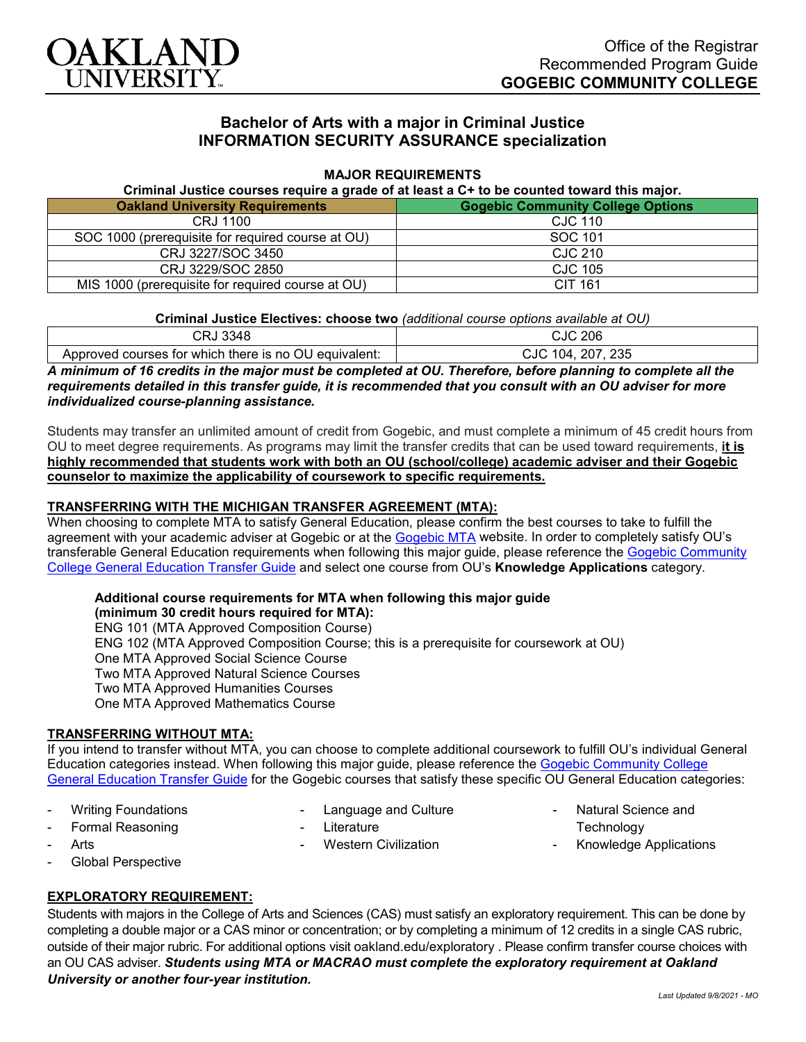

# **Bachelor of Arts with a major in Criminal Justice INFORMATION SECURITY ASSURANCE specialization**

### **MAJOR REQUIREMENTS**

**Criminal Justice courses require a grade of at least a C+ to be counted toward this major.**

| <b>Oakland University Requirements</b>            | <b>Gogebic Community College Options</b> |
|---------------------------------------------------|------------------------------------------|
| CRJ 1100                                          | CJC 110                                  |
| SOC 1000 (prerequisite for required course at OU) | SOC 101                                  |
| CRJ 3227/SOC 3450                                 | CJC 210                                  |
| CRJ 3229/SOC 2850                                 | <b>CJC 105</b>                           |
| MIS 1000 (prerequisite for required course at OU) | CIT 161                                  |

#### **Criminal Justice Electives: choose two** *(additional course options available at OU)*

| 3348                                                  | 206                      |
|-------------------------------------------------------|--------------------------|
| ו שרוכ                                                | CJC                      |
| Approved courses for which there is no OU equivalent: | 235<br>207<br>104<br>CJC |

*A minimum of 16 credits in the major must be completed at OU. Therefore, before planning to complete all the requirements detailed in this transfer guide, it is recommended that you consult with an OU adviser for more individualized course-planning assistance.*

Students may transfer an unlimited amount of credit from Gogebic, and must complete a minimum of 45 credit hours from OU to meet degree requirements. As programs may limit the transfer credits that can be used toward requirements, **it is highly recommended that students work with both an OU (school/college) academic adviser and their Gogebic counselor to maximize the applicability of coursework to specific requirements.**

#### **TRANSFERRING WITH THE MICHIGAN TRANSFER AGREEMENT (MTA):**

When choosing to complete MTA to satisfy General Education, please confirm the best courses to take to fulfill the agreement with your academic adviser at Gogebic or at the [Gogebic MTA](https://www.gogebic.edu/welcome/studentsupport/_assets/gogebic-courses-that-fulfill-the-mta-requirements.pdf) website. In order to completely satisfy OU's transferable General Education requirements when following this major guide, please reference the [Gogebic Community](https://www.oakland.edu/Assets/Oakland/program-guides/gogebic-community-college/university-general-education-requirements/Gogebic%20Gen%20Ed.pdf)  [College General Education Transfer Guide](https://www.oakland.edu/Assets/Oakland/program-guides/gogebic-community-college/university-general-education-requirements/Gogebic%20Gen%20Ed.pdf) and select one course from OU's **Knowledge Applications** category.

#### **Additional course requirements for MTA when following this major guide**

**(minimum 30 credit hours required for MTA):** ENG 101 (MTA Approved Composition Course) ENG 102 (MTA Approved Composition Course; this is a prerequisite for coursework at OU) One MTA Approved Social Science Course Two MTA Approved Natural Science Courses Two MTA Approved Humanities Courses One MTA Approved Mathematics Course

### **TRANSFERRING WITHOUT MTA:**

If you intend to transfer without MTA, you can choose to complete additional coursework to fulfill OU's individual General Education categories instead. When following this major guide, please reference the [Gogebic Community College](https://www.oakland.edu/Assets/Oakland/program-guides/gogebic-community-college/university-general-education-requirements/Gogebic%20Gen%20Ed.pdf)  [General Education Transfer Guide](https://www.oakland.edu/Assets/Oakland/program-guides/gogebic-community-college/university-general-education-requirements/Gogebic%20Gen%20Ed.pdf) for the Gogebic courses that satisfy these specific OU General Education categories:

Writing Foundations Formal Reasoning

Language and Culture

- Western Civilization

**Literature** 

- Natural Science and
	- **Technology**
- Knowledge Applications

Global Perspective

**Arts** 

## **EXPLORATORY REQUIREMENT:**

Students with majors in the College of Arts and Sciences (CAS) must satisfy an exploratory requirement. This can be done by completing a double major or a CAS minor or concentration; or by completing a minimum of 12 credits in a single CAS rubric, outside of their major rubric. For additional options visit [oakland.edu/exploratory](http://www.oakland.edu/exploratory) . Please confirm transfer course choices with an OU CAS adviser. *Students using MTA or MACRAO must complete the exploratory requirement at Oakland University or another four-year institution.*